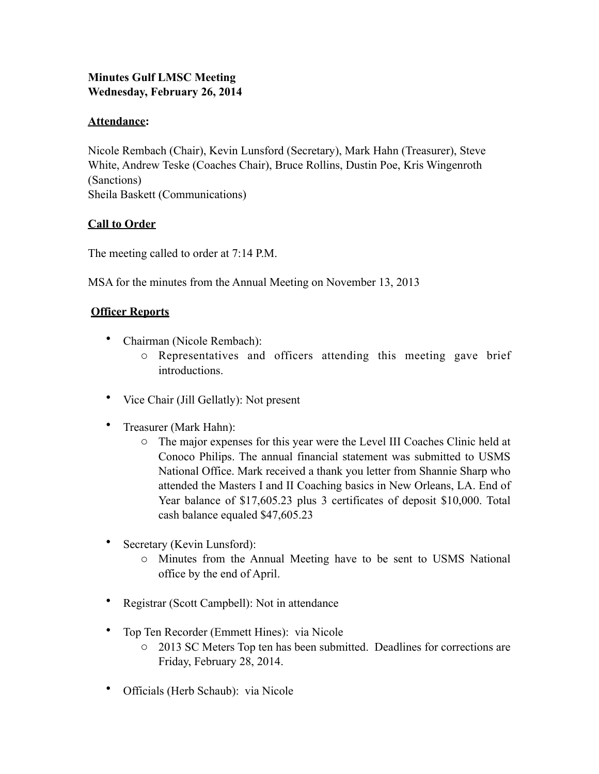# **Minutes Gulf LMSC Meeting Wednesday, February 26, 2014**

# **Attendance:**

Nicole Rembach (Chair), Kevin Lunsford (Secretary), Mark Hahn (Treasurer), Steve White, Andrew Teske (Coaches Chair), Bruce Rollins, Dustin Poe, Kris Wingenroth (Sanctions) Sheila Baskett (Communications)

# **Call to Order**

The meeting called to order at 7:14 P.M.

MSA for the minutes from the Annual Meeting on November 13, 2013

# **Officer Reports**

- Chairman (Nicole Rembach):
	- o Representatives and officers attending this meeting gave brief introductions.
- Vice Chair (Jill Gellatly): Not present
- Treasurer (Mark Hahn):
	- o The major expenses for this year were the Level III Coaches Clinic held at Conoco Philips. The annual financial statement was submitted to USMS National Office. Mark received a thank you letter from Shannie Sharp who attended the Masters I and II Coaching basics in New Orleans, LA. End of Year balance of \$17,605.23 plus 3 certificates of deposit \$10,000. Total cash balance equaled \$47,605.23
- Secretary (Kevin Lunsford):
	- o Minutes from the Annual Meeting have to be sent to USMS National office by the end of April.
- Registrar (Scott Campbell): Not in attendance
- Top Ten Recorder (Emmett Hines): via Nicole
	- o 2013 SC Meters Top ten has been submitted. Deadlines for corrections are Friday, February 28, 2014.
- Officials (Herb Schaub): via Nicole